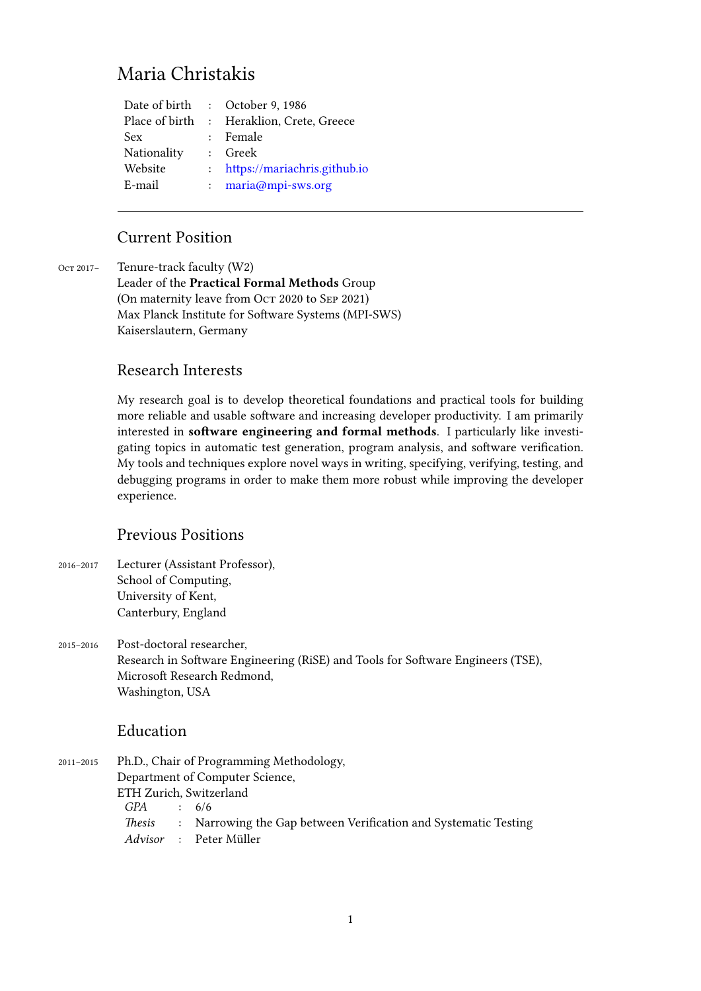# Maria Christakis

| Date of birth  | : October 9, 1986              |
|----------------|--------------------------------|
| Place of birth | : Heraklion, Crete, Greece     |
| Sex            | : Female                       |
| Nationality    | : Greek                        |
| Website        | : https://mariachris.github.io |
| E-mail         | : maria@mpi-sws.org            |
|                |                                |

## Current Positio[n](maria@mpi-sws.org)

Oct 2017- Tenure-track faculty (W2) Leader of the **Practical Formal Methods** Group (On maternity leave from Oct 2020 to SEP 2021) Max Planck Institute for Software Systems (MPI-SWS) Kaiserslautern, Germany

### Research Interests

My research goal is to develop theoretical foundations and practical tools for building more reliable and usable software and increasing developer productivity. I am primarily interested in **software engineering and formal methods**. I particularly like investigating topics in automatic test generation, program analysis, and software verification. My tools and techniques explore novel ways in writing, specifying, verifying, testing, and debugging programs in order to make them more robust while improving the developer experience.

# Previous Positions

- 2016–2017 Lecturer (Assistant Professor), School of Computing, University of Kent, Canterbury, England
- 2015–2016 Post-doctoral researcher, Research in Software Engineering (RiSE) and Tools for Software Engineers (TSE), Microsoft Research Redmond, Washington, USA

# Education

2011–2015 Ph.D., Chair of Programming Methodology, Department of Computer Science, ETH Zurich, Switzerland *GPA* : 6/6 *Thesis* : Narrowing the Gap between Verification and Systematic Testing *Advisor* : Peter Müller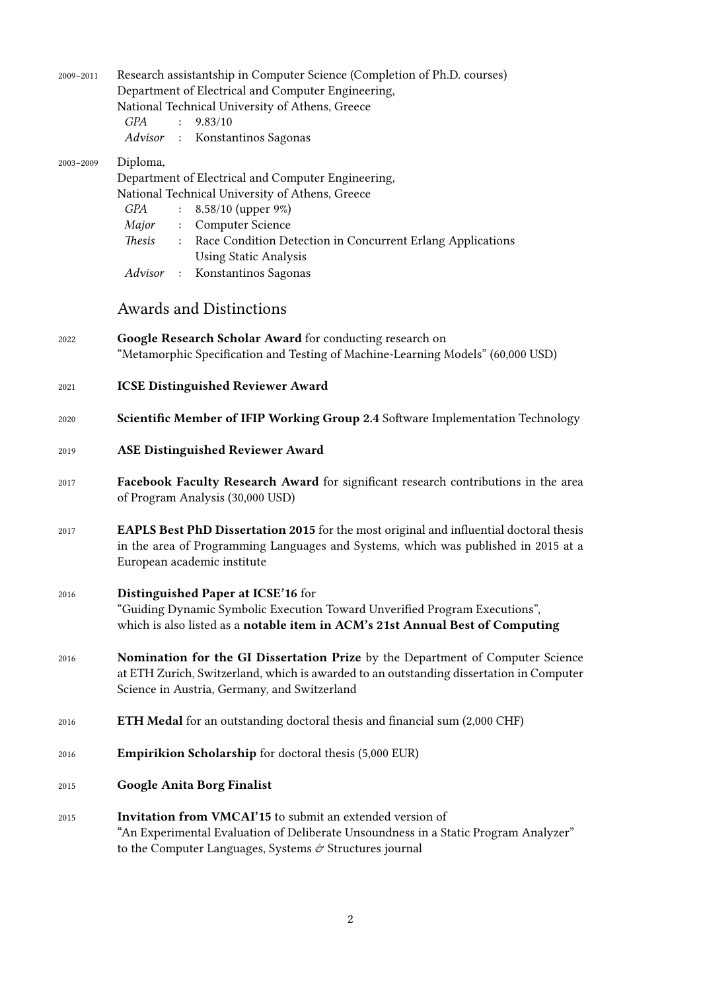| 2009-2011 | Research assistantship in Computer Science (Completion of Ph.D. courses)<br>Department of Electrical and Computer Engineering,<br>National Technical University of Athens, Greece<br>GPA :<br>9.83/10<br>Advisor : Konstantinos Sagonas                                                                                                        |
|-----------|------------------------------------------------------------------------------------------------------------------------------------------------------------------------------------------------------------------------------------------------------------------------------------------------------------------------------------------------|
| 2003-2009 | Diploma,<br>Department of Electrical and Computer Engineering,<br>National Technical University of Athens, Greece<br>8.58/10 (upper 9%)<br>GPA<br>$\ddot{\phantom{a}}$<br>Major<br>: Computer Science<br>Thesis : Race Condition Detection in Concurrent Erlang Applications<br><b>Using Static Analysis</b><br>Advisor : Konstantinos Sagonas |
|           | <b>Awards and Distinctions</b>                                                                                                                                                                                                                                                                                                                 |
| 2022      | Google Research Scholar Award for conducting research on<br>"Metamorphic Specification and Testing of Machine-Learning Models" (60,000 USD)                                                                                                                                                                                                    |
| 2021      | <b>ICSE Distinguished Reviewer Award</b>                                                                                                                                                                                                                                                                                                       |
| 2020      | Scientific Member of IFIP Working Group 2.4 Software Implementation Technology                                                                                                                                                                                                                                                                 |
| 2019      | <b>ASE Distinguished Reviewer Award</b>                                                                                                                                                                                                                                                                                                        |
| 2017      | Facebook Faculty Research Award for significant research contributions in the area<br>of Program Analysis (30,000 USD)                                                                                                                                                                                                                         |
| 2017      | EAPLS Best PhD Dissertation 2015 for the most original and influential doctoral thesis<br>in the area of Programming Languages and Systems, which was published in 2015 at a<br>European academic institute                                                                                                                                    |
| 2016      | Distinguished Paper at ICSE'16 for<br>"Guiding Dynamic Symbolic Execution Toward Unverified Program Executions",<br>which is also listed as a notable item in ACM's 21st Annual Best of Computing                                                                                                                                              |
| 2016      | Nomination for the GI Dissertation Prize by the Department of Computer Science<br>at ETH Zurich, Switzerland, which is awarded to an outstanding dissertation in Computer<br>Science in Austria, Germany, and Switzerland                                                                                                                      |
| 2016      | <b>ETH Medal</b> for an outstanding doctoral thesis and financial sum (2,000 CHF)                                                                                                                                                                                                                                                              |
| 2016      | <b>Empirikion Scholarship</b> for doctoral thesis (5,000 EUR)                                                                                                                                                                                                                                                                                  |
| 2015      | <b>Google Anita Borg Finalist</b>                                                                                                                                                                                                                                                                                                              |
| 2015      | <b>Invitation from VMCAI'15</b> to submit an extended version of<br>"An Experimental Evaluation of Deliberate Unsoundness in a Static Program Analyzer"<br>to the Computer Languages, Systems $\mathcal O$ Structures journal                                                                                                                  |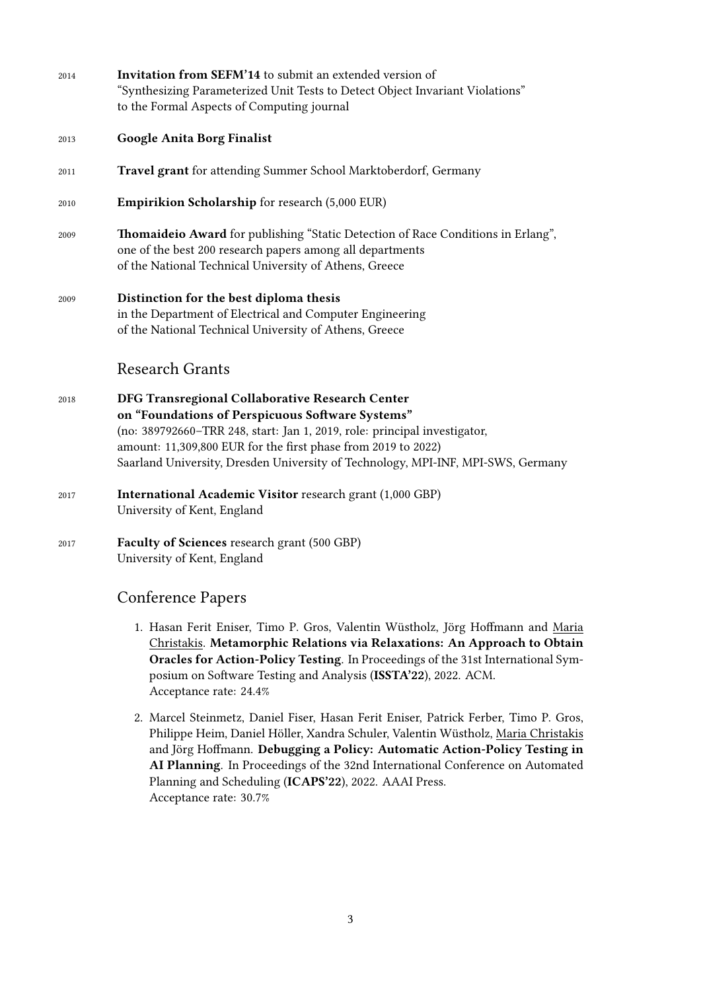| <b>Google Anita Borg Finalist</b><br>2013<br>Travel grant for attending Summer School Marktoberdorf, Germany<br>2011<br><b>Empirikion Scholarship</b> for research (5,000 EUR)<br>2010<br>2009<br>one of the best 200 research papers among all departments<br>of the National Technical University of Athens, Greece<br>Distinction for the best diploma thesis<br>2009<br>in the Department of Electrical and Computer Engineering<br>of the National Technical University of Athens, Greece<br><b>Research Grants</b><br>DFG Transregional Collaborative Research Center<br>2018<br>on "Foundations of Perspicuous Software Systems"<br>(no: 389792660-TRR 248, start: Jan 1, 2019, role: principal investigator,<br>amount: 11,309,800 EUR for the first phase from 2019 to 2022)<br><b>International Academic Visitor research grant (1,000 GBP)</b><br>2017<br>University of Kent, England<br><b>Faculty of Sciences</b> research grant (500 GBP)<br>2017<br>University of Kent, England<br><b>Conference Papers</b> | 2014 | Invitation from SEFM'14 to submit an extended version of<br>"Synthesizing Parameterized Unit Tests to Detect Object Invariant Violations"<br>to the Formal Aspects of Computing journal |
|----------------------------------------------------------------------------------------------------------------------------------------------------------------------------------------------------------------------------------------------------------------------------------------------------------------------------------------------------------------------------------------------------------------------------------------------------------------------------------------------------------------------------------------------------------------------------------------------------------------------------------------------------------------------------------------------------------------------------------------------------------------------------------------------------------------------------------------------------------------------------------------------------------------------------------------------------------------------------------------------------------------------------|------|-----------------------------------------------------------------------------------------------------------------------------------------------------------------------------------------|
|                                                                                                                                                                                                                                                                                                                                                                                                                                                                                                                                                                                                                                                                                                                                                                                                                                                                                                                                                                                                                            |      |                                                                                                                                                                                         |
|                                                                                                                                                                                                                                                                                                                                                                                                                                                                                                                                                                                                                                                                                                                                                                                                                                                                                                                                                                                                                            |      |                                                                                                                                                                                         |
|                                                                                                                                                                                                                                                                                                                                                                                                                                                                                                                                                                                                                                                                                                                                                                                                                                                                                                                                                                                                                            |      |                                                                                                                                                                                         |
|                                                                                                                                                                                                                                                                                                                                                                                                                                                                                                                                                                                                                                                                                                                                                                                                                                                                                                                                                                                                                            |      | Thomaideio Award for publishing "Static Detection of Race Conditions in Erlang",                                                                                                        |
|                                                                                                                                                                                                                                                                                                                                                                                                                                                                                                                                                                                                                                                                                                                                                                                                                                                                                                                                                                                                                            |      |                                                                                                                                                                                         |
|                                                                                                                                                                                                                                                                                                                                                                                                                                                                                                                                                                                                                                                                                                                                                                                                                                                                                                                                                                                                                            |      |                                                                                                                                                                                         |
|                                                                                                                                                                                                                                                                                                                                                                                                                                                                                                                                                                                                                                                                                                                                                                                                                                                                                                                                                                                                                            |      | Saarland University, Dresden University of Technology, MPI-INF, MPI-SWS, Germany                                                                                                        |
|                                                                                                                                                                                                                                                                                                                                                                                                                                                                                                                                                                                                                                                                                                                                                                                                                                                                                                                                                                                                                            |      |                                                                                                                                                                                         |
|                                                                                                                                                                                                                                                                                                                                                                                                                                                                                                                                                                                                                                                                                                                                                                                                                                                                                                                                                                                                                            |      |                                                                                                                                                                                         |
|                                                                                                                                                                                                                                                                                                                                                                                                                                                                                                                                                                                                                                                                                                                                                                                                                                                                                                                                                                                                                            |      |                                                                                                                                                                                         |

- 1. Hasan Ferit Eniser, Timo P. Gros, Valentin Wüstholz, Jörg Hoffmann and Maria Christakis. **Metamorphic Relations via Relaxations: An Approach to Obtain Oracles for Action-Policy Testing**. In Proceedings of the 31st International Symposium on Software Testing and Analysis (**ISSTA'22**), 2022. ACM. Acceptance rate: 24.4%
- 2. Marcel Steinmetz, Daniel Fiser, Hasan Ferit Eniser, Patrick Ferber, Timo P. Gros, Philippe Heim, Daniel Höller, Xandra Schuler, Valentin Wüstholz, Maria Christakis and Jörg Hoffmann. **Debugging a Policy: Automatic Action-Policy Testing in AI Planning**. In Proceedings of the 32nd International Conference on Automated Planning and Scheduling (**ICAPS'22**), 2022. AAAI Press. Acceptance rate: 30.7%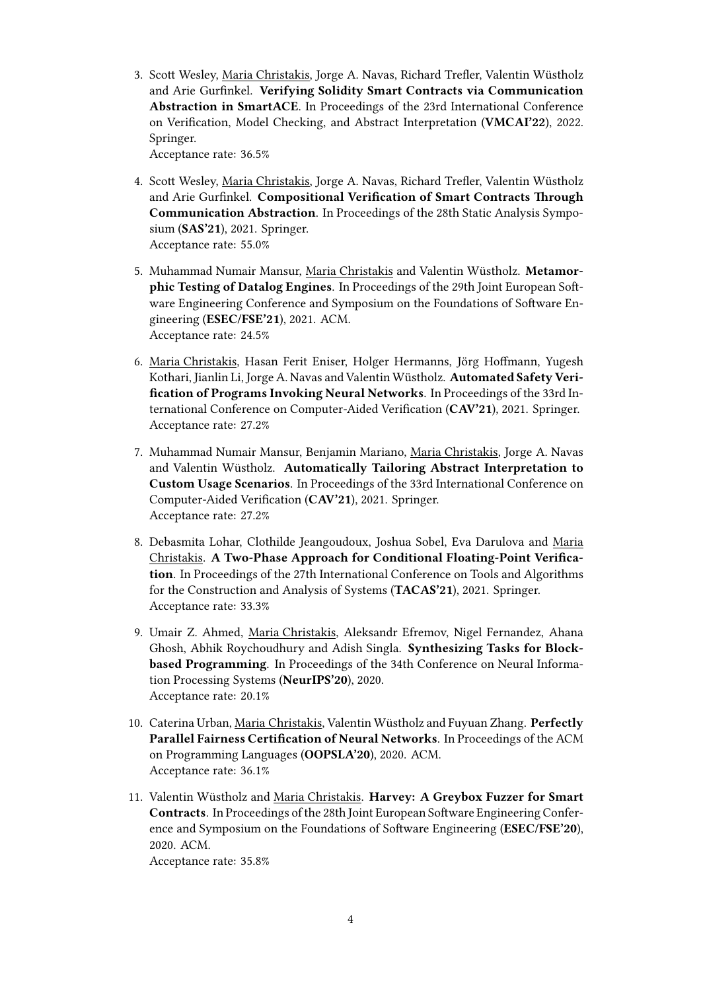3. Scott Wesley, Maria Christakis, Jorge A. Navas, Richard Trefler, Valentin Wüstholz and Arie Gurfinkel. **Verifying Solidity Smart Contracts via Communication Abstraction in SmartACE**. In Proceedings of the 23rd International Conference on Verification, Model Checking, and Abstract Interpretation (**VMCAI'22**), 2022. Springer.

Acceptance rate: 36.5%

- 4. Scott Wesley, Maria Christakis, Jorge A. Navas, Richard Trefler, Valentin Wüstholz and Arie Gurfinkel. **Compositional Verification of Smart Contracts Through Communication Abstraction**. In Proceedings of the 28th Static Analysis Symposium (**SAS'21**), 2021. Springer. Acceptance rate: 55.0%
- 5. Muhammad Numair Mansur, Maria Christakis and Valentin Wüstholz. **Metamorphic Testing of Datalog Engines**. In Proceedings of the 29th Joint European Software Engineering Conference and Symposium on the Foundations of Software Engineering (**ESEC/FSE'21**), 2021. ACM. Acceptance rate: 24.5%
- 6. Maria Christakis, Hasan Ferit Eniser, Holger Hermanns, Jörg Hoffmann, Yugesh Kothari, Jianlin Li, Jorge A. Navas and Valentin Wüstholz. **Automated Safety Verification of Programs Invoking Neural Networks**. In Proceedings of the 33rd International Conference on Computer-Aided Verification (**CAV'21**), 2021. Springer. Acceptance rate: 27.2%
- 7. Muhammad Numair Mansur, Benjamin Mariano, Maria Christakis, Jorge A. Navas and Valentin Wüstholz. **Automatically Tailoring Abstract Interpretation to Custom Usage Scenarios**. In Proceedings of the 33rd International Conference on Computer-Aided Verification (**CAV'21**), 2021. Springer. Acceptance rate: 27.2%
- 8. Debasmita Lohar, Clothilde Jeangoudoux, Joshua Sobel, Eva Darulova and Maria Christakis. **A Two-Phase Approach for Conditional Floating-Point Verification**. In Proceedings of the 27th International Conference on Tools and Algorithms for the Construction and Analysis of Systems (**TACAS'21**), 2021. Springer. Acceptance rate: 33.3%
- 9. Umair Z. Ahmed, Maria Christakis, Aleksandr Efremov, Nigel Fernandez, Ahana Ghosh, Abhik Roychoudhury and Adish Singla. **Synthesizing Tasks for Blockbased Programming**. In Proceedings of the 34th Conference on Neural Information Processing Systems (**NeurIPS'20**), 2020. Acceptance rate: 20.1%
- 10. Caterina Urban, Maria Christakis, Valentin Wüstholz and Fuyuan Zhang. **Perfectly Parallel Fairness Certification of Neural Networks**. In Proceedings of the ACM on Programming Languages (**OOPSLA'20**), 2020. ACM. Acceptance rate: 36.1%
- 11. Valentin Wüstholz and Maria Christakis. **Harvey: A Greybox Fuzzer for Smart Contracts**. In Proceedings of the 28th Joint European Software Engineering Conference and Symposium on the Foundations of Software Engineering (**ESEC/FSE'20**), 2020. ACM.

Acceptance rate: 35.8%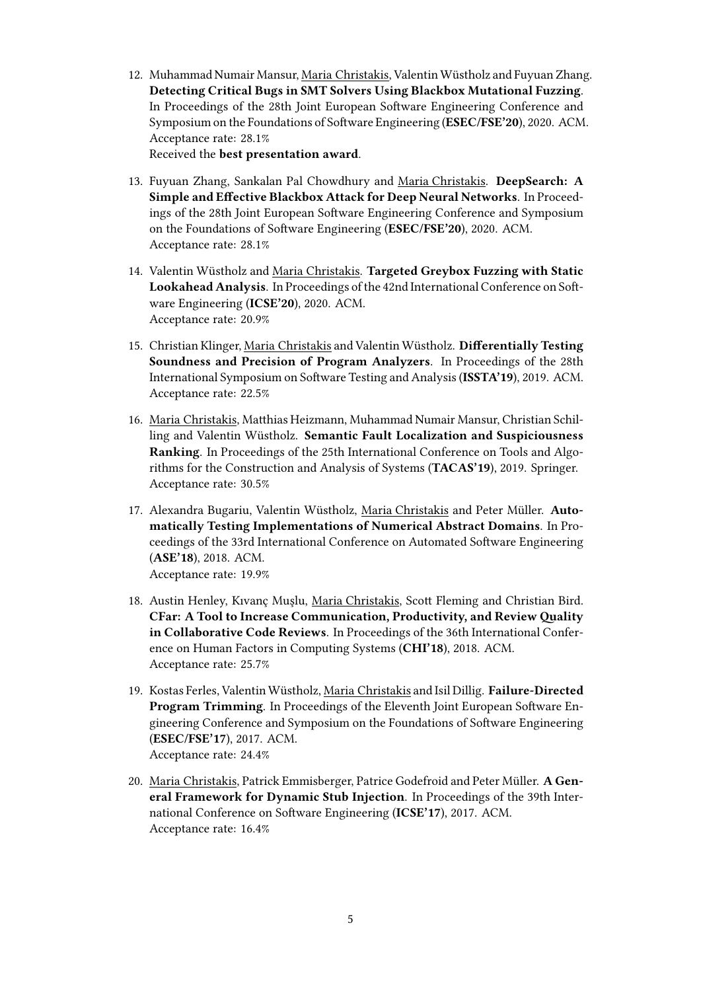12. Muhammad Numair Mansur, Maria Christakis, Valentin Wüstholz and Fuyuan Zhang. **Detecting Critical Bugs in SMT Solvers Using Blackbox Mutational Fuzzing**. In Proceedings of the 28th Joint European Software Engineering Conference and Symposium on the Foundations of Software Engineering (**ESEC/FSE'20**), 2020. ACM. Acceptance rate: 28.1%

Received the **best presentation award**.

- 13. Fuyuan Zhang, Sankalan Pal Chowdhury and Maria Christakis. **DeepSearch: A Simple and Effective Blackbox Attack for Deep Neural Networks**. In Proceedings of the 28th Joint European Software Engineering Conference and Symposium on the Foundations of Software Engineering (**ESEC/FSE'20**), 2020. ACM. Acceptance rate: 28.1%
- 14. Valentin Wüstholz and Maria Christakis. **Targeted Greybox Fuzzing with Static Lookahead Analysis**. In Proceedings of the 42nd International Conference on Software Engineering (**ICSE'20**), 2020. ACM. Acceptance rate: 20.9%
- 15. Christian Klinger, Maria Christakis and Valentin Wüstholz. **Differentially Testing Soundness and Precision of Program Analyzers**. In Proceedings of the 28th International Symposium on Software Testing and Analysis (**ISSTA'19**), 2019. ACM. Acceptance rate: 22.5%
- 16. Maria Christakis, Matthias Heizmann, Muhammad Numair Mansur, Christian Schilling and Valentin Wüstholz. **Semantic Fault Localization and Suspiciousness Ranking**. In Proceedings of the 25th International Conference on Tools and Algorithms for the Construction and Analysis of Systems (**TACAS'19**), 2019. Springer. Acceptance rate: 30.5%
- 17. Alexandra Bugariu, Valentin Wüstholz, Maria Christakis and Peter Müller. **Automatically Testing Implementations of Numerical Abstract Domains**. In Proceedings of the 33rd International Conference on Automated Software Engineering (**ASE'18**), 2018. ACM. Acceptance rate: 19.9%
- 18. Austin Henley, Kıvanc Muslu, Maria Christakis, Scott Fleming and Christian Bird. **CFar: A Tool to Increase Communication, Productivity, and ReviewQuality in Collaborative Code Reviews**. In Proceedings of the 36th International Conference on Human Factors in Computing Systems (**CHI'18**), 2018. ACM. Acceptance rate: 25.7%
- 19. Kostas Ferles, Valentin Wüstholz, Maria Christakis and Isil Dillig. **Failure-Directed Program Trimming**. In Proceedings of the Eleventh Joint European Software Engineering Conference and Symposium on the Foundations of Software Engineering (**ESEC/FSE'17**), 2017. ACM. Acceptance rate: 24.4%
- 20. Maria Christakis, Patrick Emmisberger, Patrice Godefroid and Peter Müller. **A General Framework for Dynamic Stub Injection**. In Proceedings of the 39th International Conference on Software Engineering (**ICSE'17**), 2017. ACM. Acceptance rate: 16.4%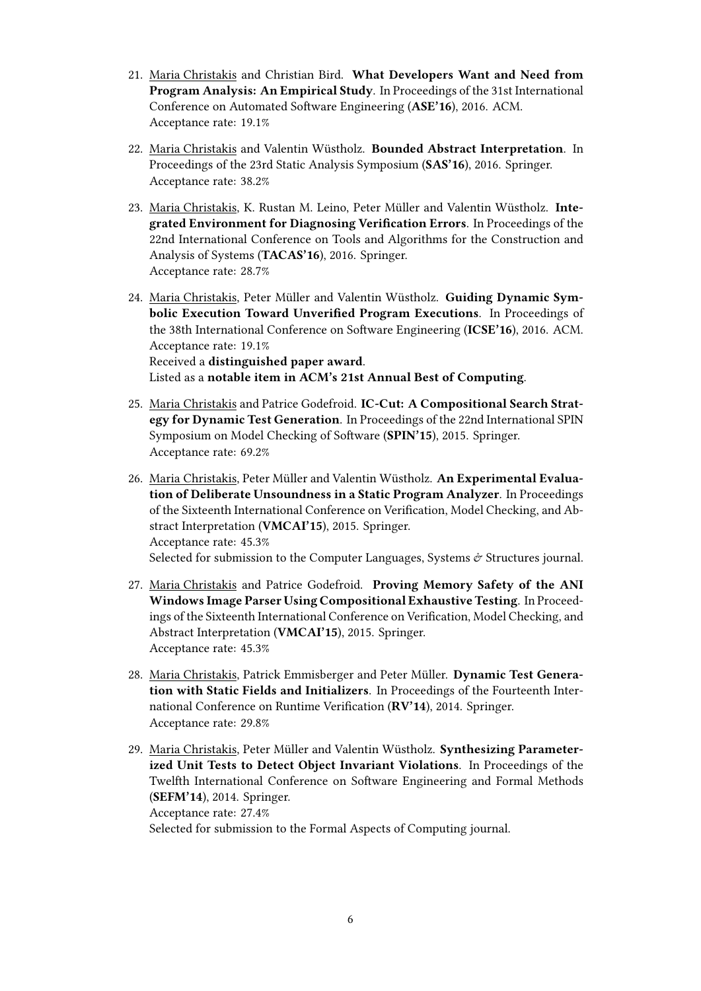- 21. Maria Christakis and Christian Bird. **What Developers Want and Need from Program Analysis: An Empirical Study**. In Proceedings of the 31st International Conference on Automated Software Engineering (**ASE'16**), 2016. ACM. Acceptance rate: 19.1%
- 22. Maria Christakis and Valentin Wüstholz. **Bounded Abstract Interpretation**. In Proceedings of the 23rd Static Analysis Symposium (**SAS'16**), 2016. Springer. Acceptance rate: 38.2%
- 23. Maria Christakis, K. Rustan M. Leino, Peter Müller and Valentin Wüstholz. **Integrated Environment for Diagnosing Verification Errors**. In Proceedings of the 22nd International Conference on Tools and Algorithms for the Construction and Analysis of Systems (**TACAS'16**), 2016. Springer. Acceptance rate: 28.7%
- 24. Maria Christakis, Peter Müller and Valentin Wüstholz. **Guiding Dynamic Symbolic Execution Toward Unverified Program Executions**. In Proceedings of the 38th International Conference on Software Engineering (**ICSE'16**), 2016. ACM. Acceptance rate: 19.1% Received a **distinguished paper award**. Listed as a **notable item in ACM's 21st Annual Best of Computing**.
- 25. Maria Christakis and Patrice Godefroid. **IC-Cut: A Compositional Search Strategy for Dynamic Test Generation**. In Proceedings of the 22nd International SPIN Symposium on Model Checking of Software (**SPIN'15**), 2015. Springer. Acceptance rate: 69.2%
- 26. Maria Christakis, Peter Müller and Valentin Wüstholz. **An Experimental Evaluation of Deliberate Unsoundness in a Static Program Analyzer**. In Proceedings of the Sixteenth International Conference on Verification, Model Checking, and Abstract Interpretation (**VMCAI'15**), 2015. Springer. Acceptance rate: 45.3% Selected for submission to the Computer Languages, Systems  $\mathcal{O}$  Structures journal.
- 27. Maria Christakis and Patrice Godefroid. **Proving Memory Safety of the ANI Windows Image Parser Using Compositional Exhaustive Testing**. In Proceedings of the Sixteenth International Conference on Verification, Model Checking, and Abstract Interpretation (**VMCAI'15**), 2015. Springer. Acceptance rate: 45.3%
- 28. Maria Christakis, Patrick Emmisberger and Peter Müller. **Dynamic Test Generation with Static Fields and Initializers**. In Proceedings of the Fourteenth International Conference on Runtime Verification (**RV'14**), 2014. Springer. Acceptance rate: 29.8%
- 29. Maria Christakis, Peter Müller and Valentin Wüstholz. **Synthesizing Parameterized Unit Tests to Detect Object Invariant Violations**. In Proceedings of the Twelfth International Conference on Software Engineering and Formal Methods (**SEFM'14**), 2014. Springer. Acceptance rate: 27.4% Selected for submission to the Formal Aspects of Computing journal.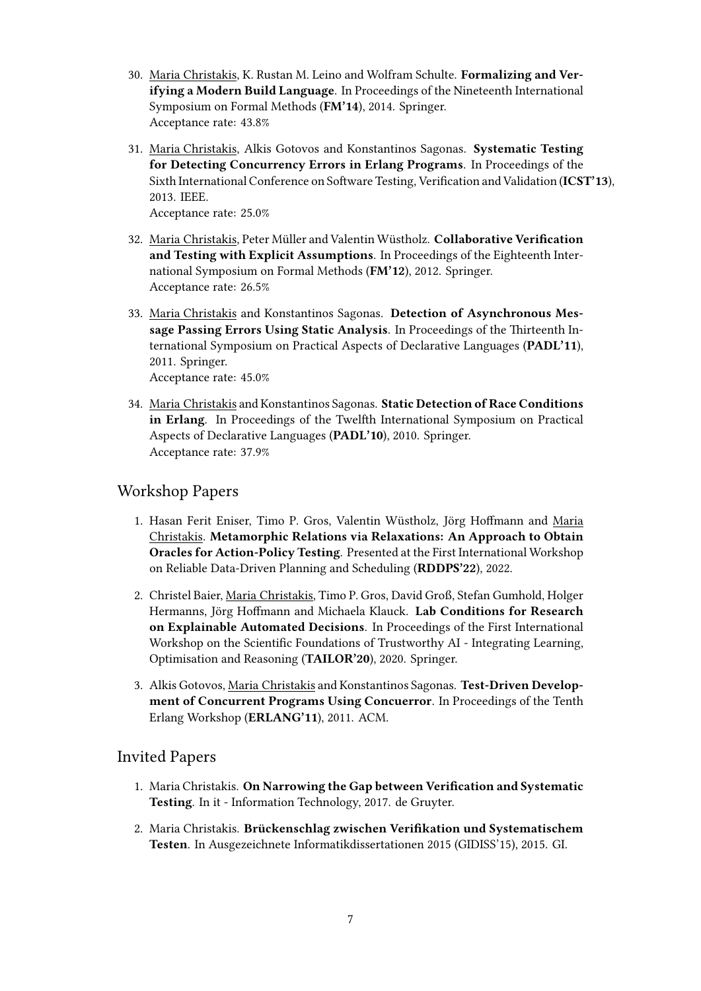- 30. Maria Christakis, K. Rustan M. Leino and Wolfram Schulte. **Formalizing and Verifying a Modern Build Language**. In Proceedings of the Nineteenth International Symposium on Formal Methods (**FM'14**), 2014. Springer. Acceptance rate: 43.8%
- 31. Maria Christakis, Alkis Gotovos and Konstantinos Sagonas. **Systematic Testing for Detecting Concurrency Errors in Erlang Programs**. In Proceedings of the Sixth International Conference on Software Testing, Verification and Validation (**ICST'13**), 2013. IEEE.

Acceptance rate: 25.0%

- 32. Maria Christakis, Peter Müller and Valentin Wüstholz. **Collaborative Verification and Testing with Explicit Assumptions**. In Proceedings of the Eighteenth International Symposium on Formal Methods (**FM'12**), 2012. Springer. Acceptance rate: 26.5%
- 33. Maria Christakis and Konstantinos Sagonas. **Detection of Asynchronous Message Passing Errors Using Static Analysis**. In Proceedings of the Thirteenth International Symposium on Practical Aspects of Declarative Languages (**PADL'11**), 2011. Springer. Acceptance rate: 45.0%
- 34. Maria Christakis and Konstantinos Sagonas. **Static Detection of Race Conditions in Erlang**. In Proceedings of the Twelfth International Symposium on Practical Aspects of Declarative Languages (**PADL'10**), 2010. Springer.

Acceptance rate: 37.9%

### Workshop Papers

- 1. Hasan Ferit Eniser, Timo P. Gros, Valentin Wüstholz, Jörg Hoffmann and Maria Christakis. **Metamorphic Relations via Relaxations: An Approach to Obtain Oracles for Action-Policy Testing**. Presented at the First International Workshop on Reliable Data-Driven Planning and Scheduling (**RDDPS'22**), 2022.
- 2. Christel Baier, Maria Christakis, Timo P. Gros, David Groß, Stefan Gumhold, Holger Hermanns, Jörg Hoffmann and Michaela Klauck. **Lab Conditions for Research on Explainable Automated Decisions**. In Proceedings of the First International Workshop on the Scientific Foundations of Trustworthy AI - Integrating Learning, Optimisation and Reasoning (**TAILOR'20**), 2020. Springer.
- 3. Alkis Gotovos, Maria Christakis and Konstantinos Sagonas. **Test-Driven Development of Concurrent Programs Using Concuerror**. In Proceedings of the Tenth Erlang Workshop (**ERLANG'11**), 2011. ACM.

#### Invited Papers

- 1. Maria Christakis. **On Narrowing the Gap between Verification and Systematic Testing**. In it - Information Technology, 2017. de Gruyter.
- 2. Maria Christakis. **Brückenschlag zwischen Verifikation und Systematischem Testen**. In Ausgezeichnete Informatikdissertationen 2015 (GIDISS'15), 2015. GI.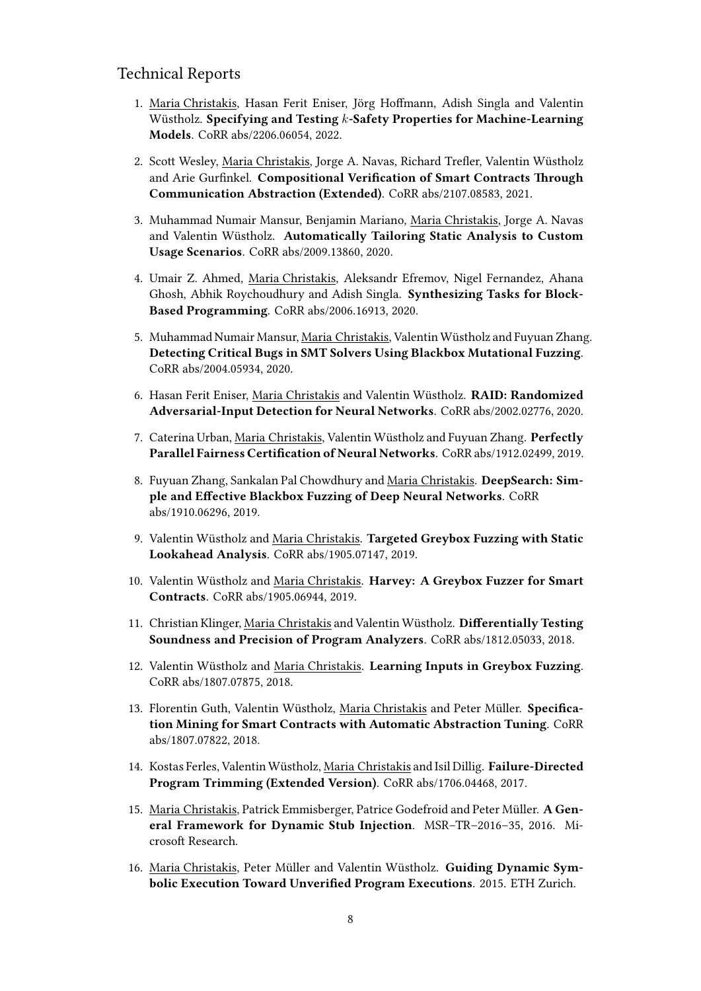#### Technical Reports

- 1. Maria Christakis, Hasan Ferit Eniser, Jörg Hoffmann, Adish Singla and Valentin Wüstholz. **Specifying and Testing** *k***-Safety Properties for Machine-Learning Models**. CoRR abs/2206.06054, 2022.
- 2. Scott Wesley, Maria Christakis, Jorge A. Navas, Richard Trefler, Valentin Wüstholz and Arie Gurfinkel. **Compositional Verification of Smart Contracts Through Communication Abstraction (Extended)**. CoRR abs/2107.08583, 2021.
- 3. Muhammad Numair Mansur, Benjamin Mariano, Maria Christakis, Jorge A. Navas and Valentin Wüstholz. **Automatically Tailoring Static Analysis to Custom Usage Scenarios**. CoRR abs/2009.13860, 2020.
- 4. Umair Z. Ahmed, Maria Christakis, Aleksandr Efremov, Nigel Fernandez, Ahana Ghosh, Abhik Roychoudhury and Adish Singla. **Synthesizing Tasks for Block-Based Programming**. CoRR abs/2006.16913, 2020.
- 5. Muhammad Numair Mansur, Maria Christakis, Valentin Wüstholz and Fuyuan Zhang. **Detecting Critical Bugs in SMT Solvers Using Blackbox Mutational Fuzzing**. CoRR abs/2004.05934, 2020.
- 6. Hasan Ferit Eniser, Maria Christakis and Valentin Wüstholz. **RAID: Randomized Adversarial-Input Detection for Neural Networks**. CoRR abs/2002.02776, 2020.
- 7. Caterina Urban, Maria Christakis, Valentin Wüstholz and Fuyuan Zhang. **Perfectly Parallel Fairness Certification of Neural Networks**. CoRR abs/1912.02499, 2019.
- 8. Fuyuan Zhang, Sankalan Pal Chowdhury and Maria Christakis. **DeepSearch: Simple and Effective Blackbox Fuzzing of Deep Neural Networks**. CoRR abs/1910.06296, 2019.
- 9. Valentin Wüstholz and Maria Christakis. **Targeted Greybox Fuzzing with Static Lookahead Analysis**. CoRR abs/1905.07147, 2019.
- 10. Valentin Wüstholz and Maria Christakis. **Harvey: A Greybox Fuzzer for Smart Contracts**. CoRR abs/1905.06944, 2019.
- 11. Christian Klinger, Maria Christakis and Valentin Wüstholz. **Differentially Testing Soundness and Precision of Program Analyzers**. CoRR abs/1812.05033, 2018.
- 12. Valentin Wüstholz and Maria Christakis. **Learning Inputs in Greybox Fuzzing**. CoRR abs/1807.07875, 2018.
- 13. Florentin Guth, Valentin Wüstholz, Maria Christakis and Peter Müller. **Specification Mining for Smart Contracts with Automatic Abstraction Tuning**. CoRR abs/1807.07822, 2018.
- 14. Kostas Ferles, Valentin Wüstholz, Maria Christakis and Isil Dillig. **Failure-Directed Program Trimming (Extended Version)**. CoRR abs/1706.04468, 2017.
- 15. Maria Christakis, Patrick Emmisberger, Patrice Godefroid and Peter Müller. **A General Framework for Dynamic Stub Injection**. MSR–TR–2016–35, 2016. Microsoft Research.
- 16. Maria Christakis, Peter Müller and Valentin Wüstholz. **Guiding Dynamic Symbolic Execution Toward Unverified Program Executions**. 2015. ETH Zurich.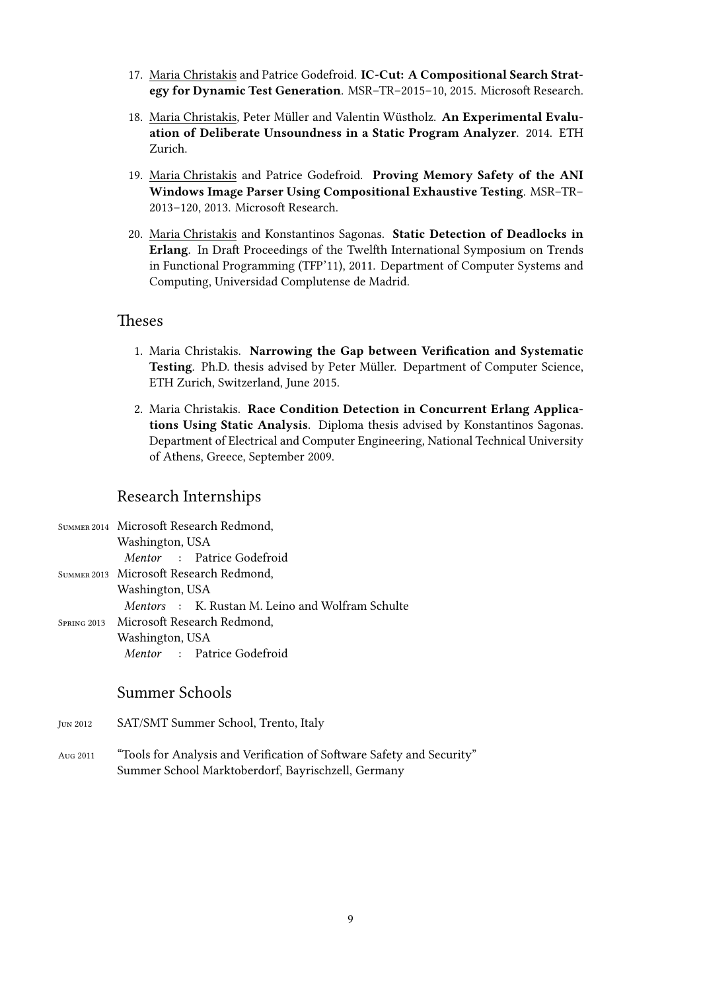- 17. Maria Christakis and Patrice Godefroid. **IC-Cut: A Compositional Search Strategy for Dynamic Test Generation**. MSR–TR–2015–10, 2015. Microsoft Research.
- 18. Maria Christakis, Peter Müller and Valentin Wüstholz. **An Experimental Evaluation of Deliberate Unsoundness in a Static Program Analyzer**. 2014. ETH Zurich.
- 19. Maria Christakis and Patrice Godefroid. **Proving Memory Safety of the ANI Windows Image Parser Using Compositional Exhaustive Testing**. MSR–TR– 2013–120, 2013. Microsoft Research.
- 20. Maria Christakis and Konstantinos Sagonas. **Static Detection of Deadlocks in Erlang**. In Draft Proceedings of the Twelfth International Symposium on Trends in Functional Programming (TFP'11), 2011. Department of Computer Systems and Computing, Universidad Complutense de Madrid.

#### Theses

- 1. Maria Christakis. **Narrowing the Gap between Verification and Systematic Testing**. Ph.D. thesis advised by Peter Müller. Department of Computer Science, ETH Zurich, Switzerland, June 2015.
- 2. Maria Christakis. **Race Condition Detection in Concurrent Erlang Applications Using Static Analysis**. Diploma thesis advised by Konstantinos Sagonas. Department of Electrical and Computer Engineering, National Technical University of Athens, Greece, September 2009.

### Research Internships

| SUMMER 2014 Microsoft Research Redmond,                 |
|---------------------------------------------------------|
| Washington, USA                                         |
| Mentor : Patrice Godefroid                              |
| SUMMER 2013 Microsoft Research Redmond,                 |
| Washington, USA                                         |
| <i>Mentors</i> : K. Rustan M. Leino and Wolfram Schulte |
| SPRING 2013 Microsoft Research Redmond,                 |
| Washington, USA                                         |
| <i>Mentor</i> : Patrice Godefroid                       |

### Summer Schools

- Jun 2012 SAT/SMT Summer School, Trento, Italy
- Aug 2011 "Tools for Analysis and Verification of Software Safety and Security" Summer School Marktoberdorf, Bayrischzell, Germany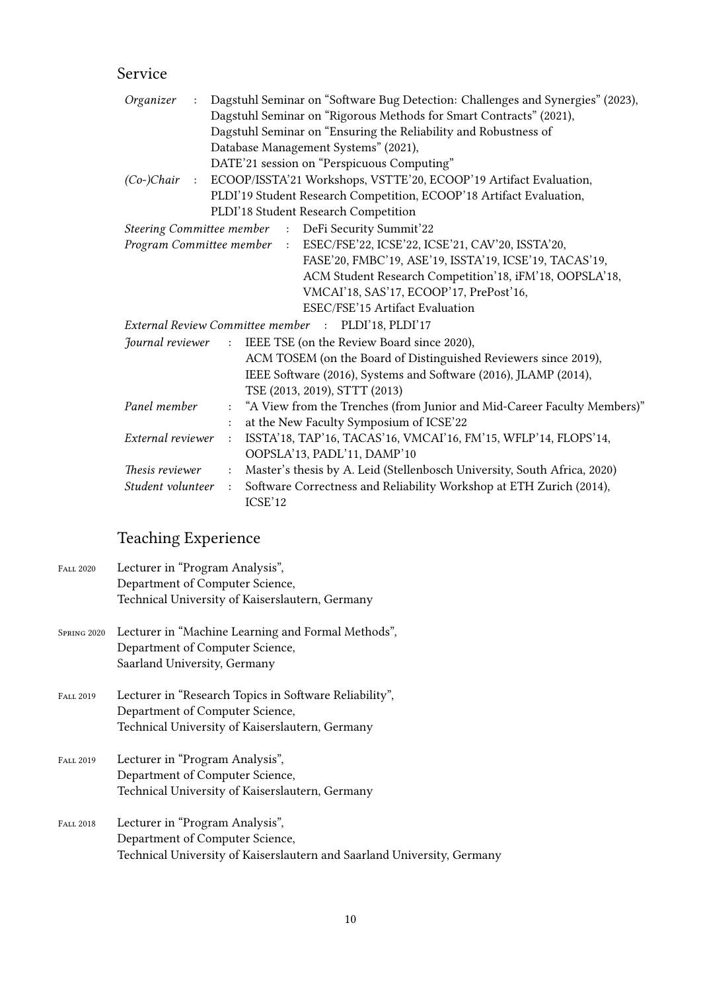# Service

| Organizer<br>$\pm$         |                      | Dagstuhl Seminar on "Software Bug Detection: Challenges and Synergies" (2023), |
|----------------------------|----------------------|--------------------------------------------------------------------------------|
|                            |                      | Dagstuhl Seminar on "Rigorous Methods for Smart Contracts" (2021),             |
|                            |                      | Dagstuhl Seminar on "Ensuring the Reliability and Robustness of                |
|                            |                      | Database Management Systems" (2021),                                           |
|                            |                      | DATE'21 session on "Perspicuous Computing"                                     |
|                            |                      | (Co-)Chair : ECOOP/ISSTA'21 Workshops, VSTTE'20, ECOOP'19 Artifact Evaluation, |
|                            |                      | PLDI'19 Student Research Competition, ECOOP'18 Artifact Evaluation,            |
|                            |                      | PLDI'18 Student Research Competition                                           |
|                            |                      | Steering Committee member : DeFi Security Summit'22                            |
| Program Committee member : |                      | ESEC/FSE'22, ICSE'22, ICSE'21, CAV'20, ISSTA'20,                               |
|                            |                      | FASE'20, FMBC'19, ASE'19, ISSTA'19, ICSE'19, TACAS'19,                         |
|                            |                      | ACM Student Research Competition'18, iFM'18, OOPSLA'18,                        |
|                            |                      | VMCAI'18, SAS'17, ECOOP'17, PrePost'16,                                        |
|                            |                      | ESEC/FSE'15 Artifact Evaluation                                                |
|                            |                      | External Review Committee member : PLDI'18, PLDI'17                            |
| Journal reviewer           | $\pm$ .              | IEEE TSE (on the Review Board since 2020),                                     |
|                            |                      | ACM TOSEM (on the Board of Distinguished Reviewers since 2019),                |
|                            |                      | IEEE Software (2016), Systems and Software (2016), JLAMP (2014),               |
|                            |                      | TSE (2013, 2019), STTT (2013)                                                  |
| Panel member               | $\ddot{\phantom{a}}$ | "A View from the Trenches (from Junior and Mid-Career Faculty Members)"        |
|                            | $\ddot{\cdot}$       | at the New Faculty Symposium of ICSE'22                                        |
| External reviewer          | $\ddot{\cdot}$       | ISSTA'18, TAP'16, TACAS'16, VMCAI'16, FM'15, WFLP'14, FLOPS'14,                |
|                            |                      | OOPSLA'13, PADL'11, DAMP'10                                                    |
| <i>Thesis reviewer</i>     | $\ddot{\cdot}$       | Master's thesis by A. Leid (Stellenbosch University, South Africa, 2020)       |
| Student volunteer          | $\ddot{\cdot}$       | Software Correctness and Reliability Workshop at ETH Zurich (2014),            |
|                            |                      | ICSE'12                                                                        |

# Teaching Experience

| FALL 2020        | Lecturer in "Program Analysis",<br>Department of Computer Science,      |
|------------------|-------------------------------------------------------------------------|
|                  | Technical University of Kaiserslautern, Germany                         |
| SPRING 2020      | Lecturer in "Machine Learning and Formal Methods",                      |
|                  | Department of Computer Science,                                         |
|                  | Saarland University, Germany                                            |
| FALL 2019        | Lecturer in "Research Topics in Software Reliability",                  |
|                  | Department of Computer Science,                                         |
|                  | Technical University of Kaiserslautern, Germany                         |
| <b>FALL 2019</b> | Lecturer in "Program Analysis",                                         |
|                  | Department of Computer Science,                                         |
|                  | Technical University of Kaiserslautern, Germany                         |
| <b>FALL 2018</b> | Lecturer in "Program Analysis",                                         |
|                  | Department of Computer Science,                                         |
|                  | Technical University of Kaiserslautern and Saarland University, Germany |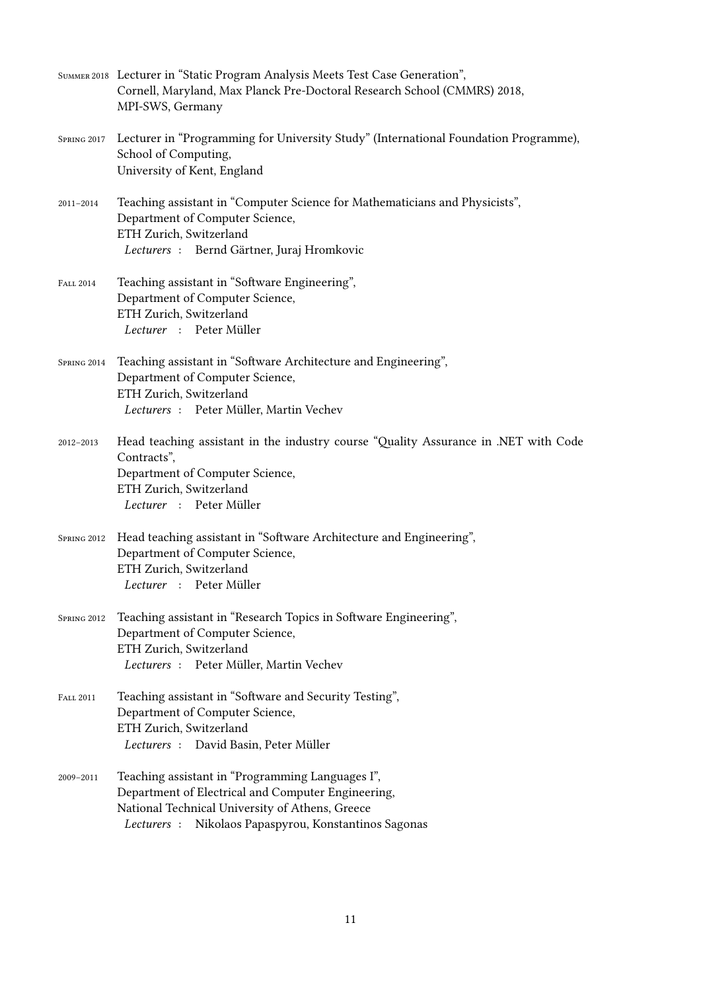|                  | SUMMER 2018 Lecturer in "Static Program Analysis Meets Test Case Generation",<br>Cornell, Maryland, Max Planck Pre-Doctoral Research School (CMMRS) 2018,<br>MPI-SWS, Germany                                         |
|------------------|-----------------------------------------------------------------------------------------------------------------------------------------------------------------------------------------------------------------------|
| SPRING 2017      | Lecturer in "Programming for University Study" (International Foundation Programme),<br>School of Computing,<br>University of Kent, England                                                                           |
| 2011-2014        | Teaching assistant in "Computer Science for Mathematicians and Physicists",<br>Department of Computer Science,<br>ETH Zurich, Switzerland<br>Lecturers : Bernd Gärtner, Juraj Hromkovic                               |
| <b>FALL 2014</b> | Teaching assistant in "Software Engineering",<br>Department of Computer Science,<br>ETH Zurich, Switzerland<br>Lecturer : Peter Müller                                                                                |
| SPRING 2014      | Teaching assistant in "Software Architecture and Engineering",<br>Department of Computer Science,<br>ETH Zurich, Switzerland<br>Lecturers : Peter Müller, Martin Vechev                                               |
| 2012-2013        | Head teaching assistant in the industry course "Quality Assurance in .NET with Code<br>Contracts",<br>Department of Computer Science,<br>ETH Zurich, Switzerland<br>Lecturer : Peter Müller                           |
| SPRING 2012      | Head teaching assistant in "Software Architecture and Engineering",<br>Department of Computer Science,<br>ETH Zurich, Switzerland<br>Lecturer : Peter Müller                                                          |
| SPRING 2012      | Teaching assistant in "Research Topics in Software Engineering",<br>Department of Computer Science,<br>ETH Zurich, Switzerland<br>Lecturers: Peter Müller, Martin Vechev                                              |
| <b>FALL 2011</b> | Teaching assistant in "Software and Security Testing",<br>Department of Computer Science,<br>ETH Zurich, Switzerland<br>Lecturers : David Basin, Peter Müller                                                         |
| 2009-2011        | Teaching assistant in "Programming Languages I",<br>Department of Electrical and Computer Engineering,<br>National Technical University of Athens, Greece<br>Nikolaos Papaspyrou, Konstantinos Sagonas<br>Lecturers : |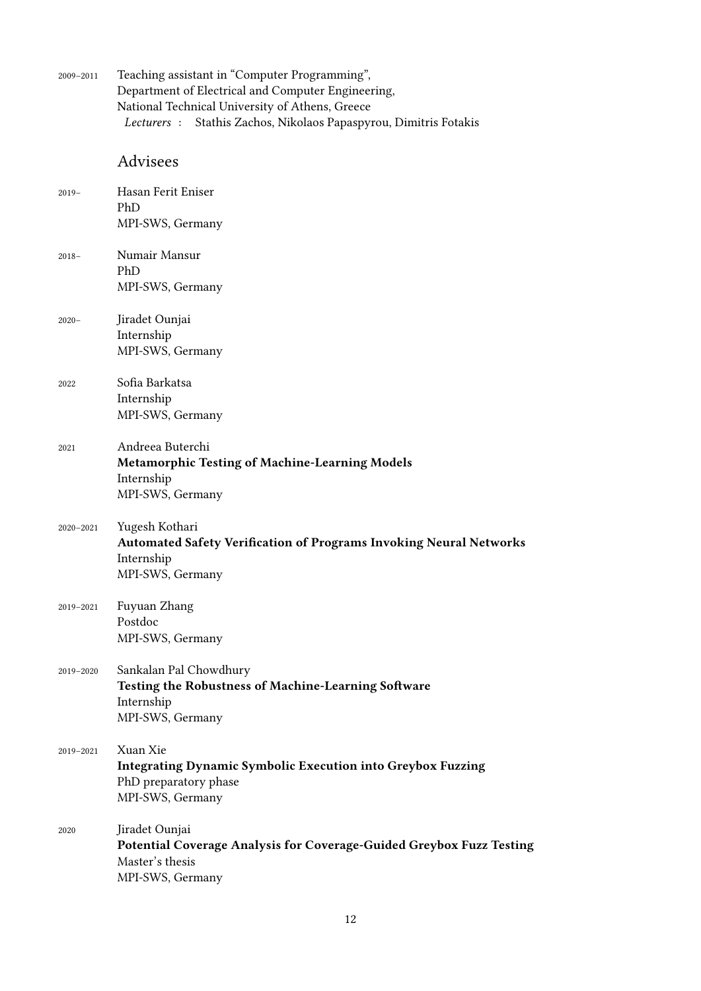| 2009-2011 | Teaching assistant in "Computer Programming",<br>Department of Electrical and Computer Engineering,<br>National Technical University of Athens, Greece<br>Stathis Zachos, Nikolaos Papaspyrou, Dimitris Fotakis<br>Lecturers : |
|-----------|--------------------------------------------------------------------------------------------------------------------------------------------------------------------------------------------------------------------------------|
|           | Advisees                                                                                                                                                                                                                       |
| $2019-$   | Hasan Ferit Eniser<br>PhD<br>MPI-SWS, Germany                                                                                                                                                                                  |
| $2018-$   | Numair Mansur<br>PhD<br>MPI-SWS, Germany                                                                                                                                                                                       |
| $2020 -$  | Jiradet Ounjai<br>Internship<br>MPI-SWS, Germany                                                                                                                                                                               |
| 2022      | Sofia Barkatsa<br>Internship<br>MPI-SWS, Germany                                                                                                                                                                               |
| 2021      | Andreea Buterchi<br><b>Metamorphic Testing of Machine-Learning Models</b><br>Internship<br>MPI-SWS, Germany                                                                                                                    |
| 2020-2021 | Yugesh Kothari<br><b>Automated Safety Verification of Programs Invoking Neural Networks</b><br>Internship<br>MPI-SWS, Germany                                                                                                  |
| 2019-2021 | Fuyuan Zhang<br>Postdoc<br>MPI-SWS, Germany                                                                                                                                                                                    |
| 2019-2020 | Sankalan Pal Chowdhury<br>Testing the Robustness of Machine-Learning Software<br>Internship<br>MPI-SWS, Germany                                                                                                                |
| 2019-2021 | Xuan Xie<br><b>Integrating Dynamic Symbolic Execution into Greybox Fuzzing</b><br>PhD preparatory phase<br>MPI-SWS, Germany                                                                                                    |
| 2020      | Jiradet Ounjai<br>Potential Coverage Analysis for Coverage-Guided Greybox Fuzz Testing<br>Master's thesis<br>MPI-SWS, Germany                                                                                                  |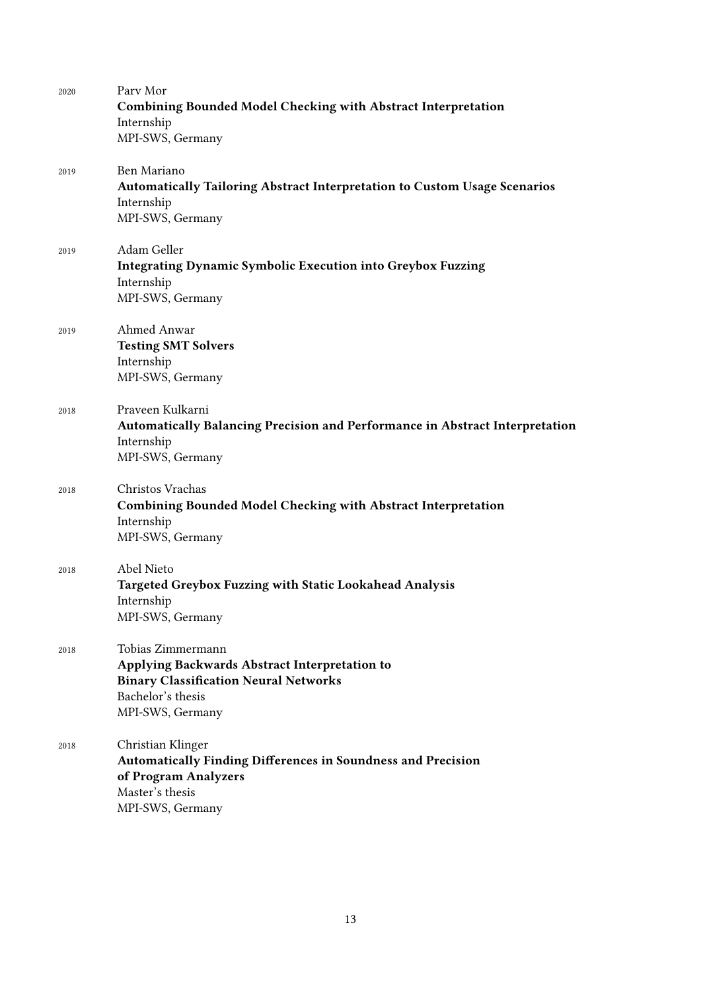| 2020 | Parv Mor<br><b>Combining Bounded Model Checking with Abstract Interpretation</b><br>Internship<br>MPI-SWS, Germany                                          |
|------|-------------------------------------------------------------------------------------------------------------------------------------------------------------|
| 2019 | Ben Mariano<br><b>Automatically Tailoring Abstract Interpretation to Custom Usage Scenarios</b><br>Internship<br>MPI-SWS, Germany                           |
| 2019 | Adam Geller<br><b>Integrating Dynamic Symbolic Execution into Greybox Fuzzing</b><br>Internship<br>MPI-SWS, Germany                                         |
| 2019 | Ahmed Anwar<br><b>Testing SMT Solvers</b><br>Internship<br>MPI-SWS, Germany                                                                                 |
| 2018 | Praveen Kulkarni<br><b>Automatically Balancing Precision and Performance in Abstract Interpretation</b><br>Internship<br>MPI-SWS, Germany                   |
| 2018 | Christos Vrachas<br><b>Combining Bounded Model Checking with Abstract Interpretation</b><br>Internship<br>MPI-SWS, Germany                                  |
| 2018 | Abel Nieto<br>Targeted Greybox Fuzzing with Static Lookahead Analysis<br>Internship<br>MPI-SWS, Germany                                                     |
| 2018 | Tobias Zimmermann<br>Applying Backwards Abstract Interpretation to<br><b>Binary Classification Neural Networks</b><br>Bachelor's thesis<br>MPI-SWS, Germany |
| 2018 | Christian Klinger<br><b>Automatically Finding Differences in Soundness and Precision</b><br>of Program Analyzers<br>Master's thesis<br>MPI-SWS, Germany     |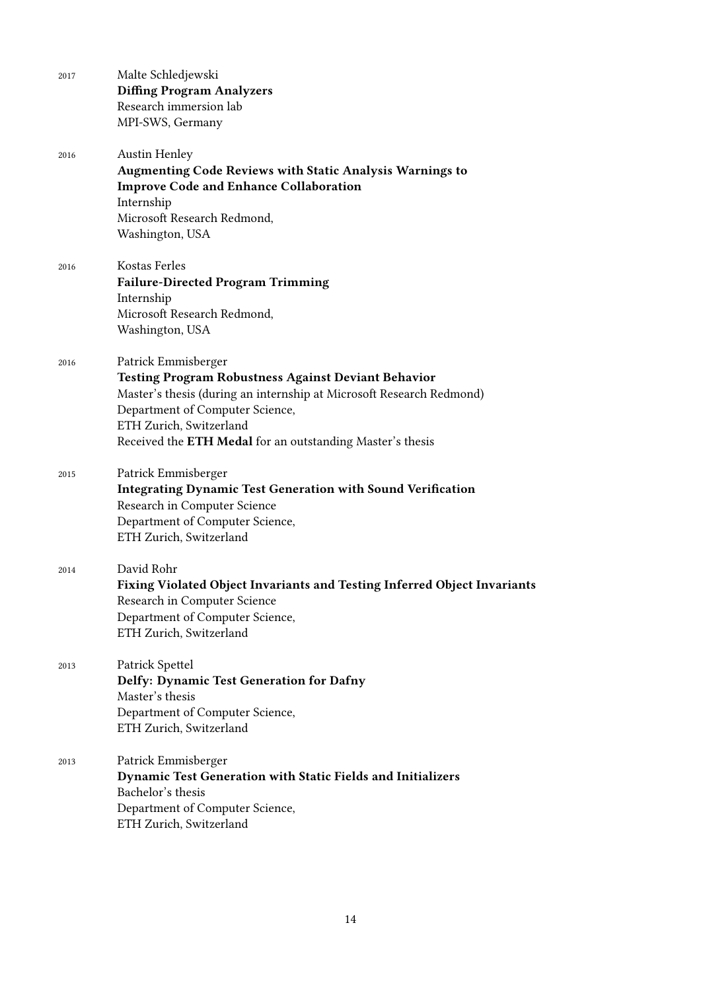| 2017 | Malte Schledjewski                                                       |
|------|--------------------------------------------------------------------------|
|      | <b>Diffing Program Analyzers</b>                                         |
|      | Research immersion lab                                                   |
|      | MPI-SWS, Germany                                                         |
| 2016 | <b>Austin Henley</b>                                                     |
|      | <b>Augmenting Code Reviews with Static Analysis Warnings to</b>          |
|      | <b>Improve Code and Enhance Collaboration</b>                            |
|      | Internship                                                               |
|      | Microsoft Research Redmond,                                              |
|      | Washington, USA                                                          |
| 2016 | Kostas Ferles                                                            |
|      | <b>Failure-Directed Program Trimming</b>                                 |
|      | Internship                                                               |
|      | Microsoft Research Redmond,                                              |
|      | Washington, USA                                                          |
| 2016 | Patrick Emmisberger                                                      |
|      | <b>Testing Program Robustness Against Deviant Behavior</b>               |
|      | Master's thesis (during an internship at Microsoft Research Redmond)     |
|      | Department of Computer Science,                                          |
|      | ETH Zurich, Switzerland                                                  |
|      | Received the ETH Medal for an outstanding Master's thesis                |
| 2015 | Patrick Emmisberger                                                      |
|      | <b>Integrating Dynamic Test Generation with Sound Verification</b>       |
|      | Research in Computer Science                                             |
|      | Department of Computer Science,                                          |
|      | ETH Zurich, Switzerland                                                  |
| 2014 | David Rohr                                                               |
|      | Fixing Violated Object Invariants and Testing Inferred Object Invariants |
|      | Research in Computer Science                                             |
|      | Department of Computer Science,                                          |
|      | ETH Zurich, Switzerland                                                  |
| 2013 | Patrick Spettel                                                          |
|      | Delfy: Dynamic Test Generation for Dafny                                 |
|      | Master's thesis                                                          |
|      | Department of Computer Science,                                          |
|      | ETH Zurich, Switzerland                                                  |
| 2013 | Patrick Emmisberger                                                      |
|      | <b>Dynamic Test Generation with Static Fields and Initializers</b>       |
|      | Bachelor's thesis                                                        |
|      | Department of Computer Science,                                          |
|      | ETH Zurich, Switzerland                                                  |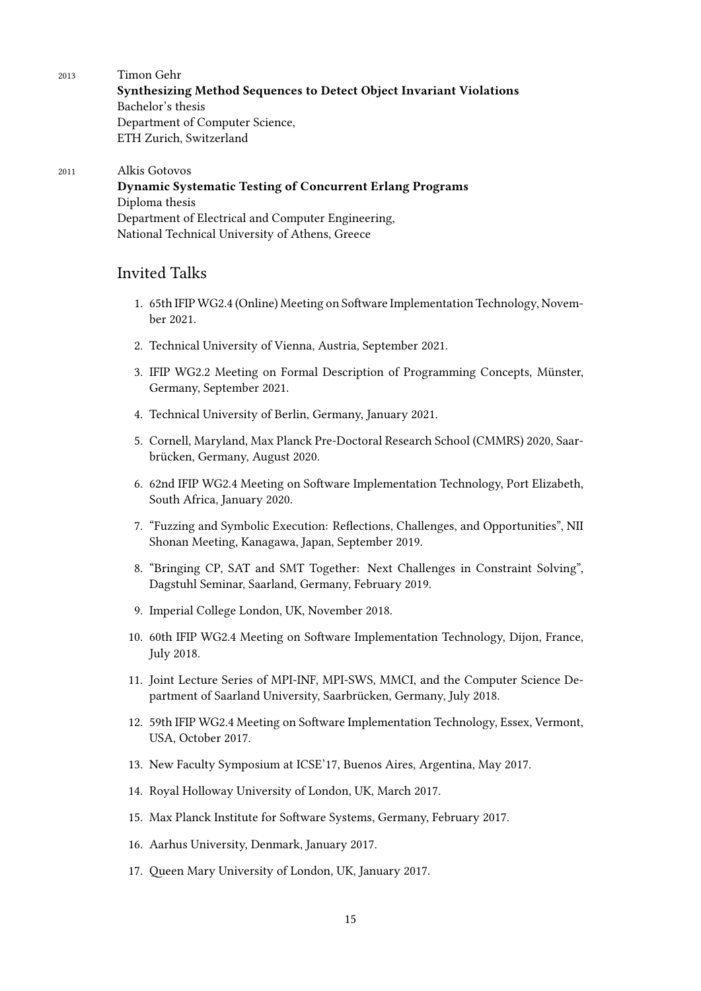2013 Timon Gehr

**Synthesizing Method Sequences to Detect Object Invariant Violations** Bachelor's thesis Department of Computer Science, ETH Zurich, Switzerland

### 2011 Alkis Gotovos

**Dynamic Systematic Testing of Concurrent Erlang Programs** Diploma thesis Department of Electrical and Computer Engineering, National Technical University of Athens, Greece

# Invited Talks

- 1. 65th IFIP WG2.4 (Online) Meeting on Software Implementation Technology, November 2021.
- 2. Technical University of Vienna, Austria, September 2021.
- 3. IFIP WG2.2 Meeting on Formal Description of Programming Concepts, Münster, Germany, September 2021.
- 4. Technical University of Berlin, Germany, January 2021.
- 5. Cornell, Maryland, Max Planck Pre-Doctoral Research School (CMMRS) 2020, Saarbrücken, Germany, August 2020.
- 6. 62nd IFIP WG2.4 Meeting on Software Implementation Technology, Port Elizabeth, South Africa, January 2020.
- 7. "Fuzzing and Symbolic Execution: Reflections, Challenges, and Opportunities", NII Shonan Meeting, Kanagawa, Japan, September 2019.
- 8. "Bringing CP, SAT and SMT Together: Next Challenges in Constraint Solving", Dagstuhl Seminar, Saarland, Germany, February 2019.
- 9. Imperial College London, UK, November 2018.
- 10. 60th IFIP WG2.4 Meeting on Software Implementation Technology, Dijon, France, July 2018.
- 11. Joint Lecture Series of MPI-INF, MPI-SWS, MMCI, and the Computer Science Department of Saarland University, Saarbrücken, Germany, July 2018.
- 12. 59th IFIP WG2.4 Meeting on Software Implementation Technology, Essex, Vermont, USA, October 2017.
- 13. New Faculty Symposium at ICSE'17, Buenos Aires, Argentina, May 2017.
- 14. Royal Holloway University of London, UK, March 2017.
- 15. Max Planck Institute for Software Systems, Germany, February 2017.
- 16. Aarhus University, Denmark, January 2017.
- 17. Queen Mary University of London, UK, January 2017.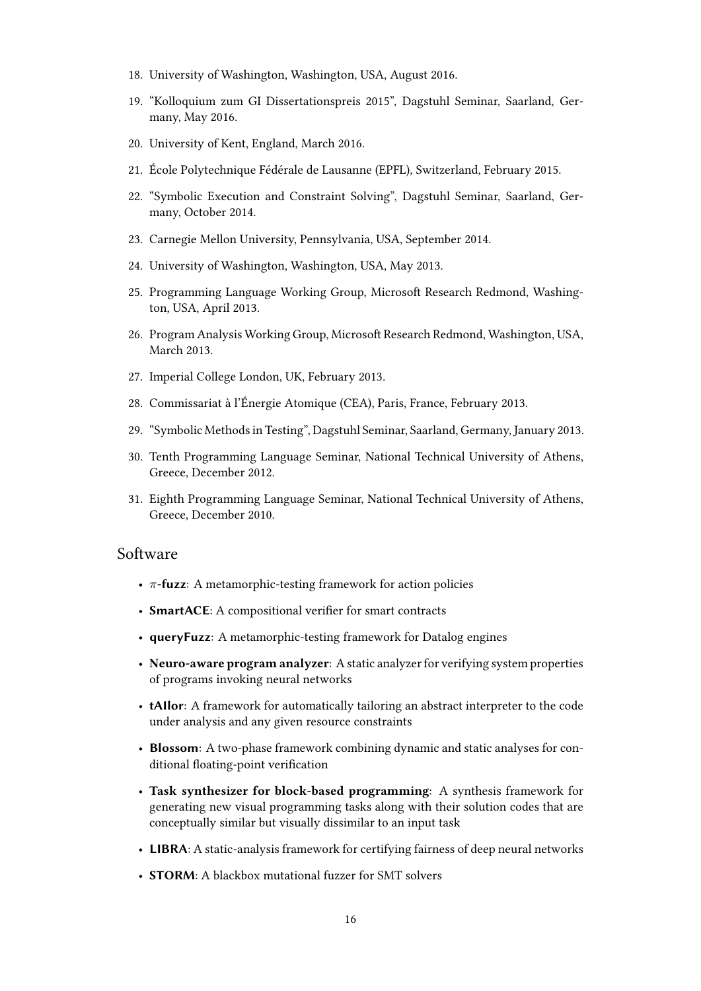- 18. University of Washington, Washington, USA, August 2016.
- 19. "Kolloquium zum GI Dissertationspreis 2015", Dagstuhl Seminar, Saarland, Germany, May 2016.
- 20. University of Kent, England, March 2016.
- 21. École Polytechnique Fédérale de Lausanne (EPFL), Switzerland, February 2015.
- 22. "Symbolic Execution and Constraint Solving", Dagstuhl Seminar, Saarland, Germany, October 2014.
- 23. Carnegie Mellon University, Pennsylvania, USA, September 2014.
- 24. University of Washington, Washington, USA, May 2013.
- 25. Programming Language Working Group, Microsoft Research Redmond, Washington, USA, April 2013.
- 26. Program Analysis Working Group, Microsoft Research Redmond, Washington, USA, March 2013.
- 27. Imperial College London, UK, February 2013.
- 28. Commissariat à l'Énergie Atomique (CEA), Paris, France, February 2013.
- 29. "Symbolic Methods in Testing", Dagstuhl Seminar, Saarland, Germany, January 2013.
- 30. Tenth Programming Language Seminar, National Technical University of Athens, Greece, December 2012.
- 31. Eighth Programming Language Seminar, National Technical University of Athens, Greece, December 2010.

#### Software

- *π***-fuzz**: A metamorphic-testing framework for action policies
- **SmartACE**: A compositional verifier for smart contracts
- **queryFuzz**: A metamorphic-testing framework for Datalog engines
- **Neuro-aware program analyzer**: A static analyzer for verifying system properties of programs invoking neural networks
- **tAIlor**: A framework for automatically tailoring an abstract interpreter to the code under analysis and any given resource constraints
- **Blossom**: A two-phase framework combining dynamic and static analyses for conditional floating-point verification
- **Task synthesizer for block-based programming**: A synthesis framework for generating new visual programming tasks along with their solution codes that are conceptually similar but visually dissimilar to an input task
- **LIBRA**: A static-analysis framework for certifying fairness of deep neural networks
- **STORM**: A blackbox mutational fuzzer for SMT solvers